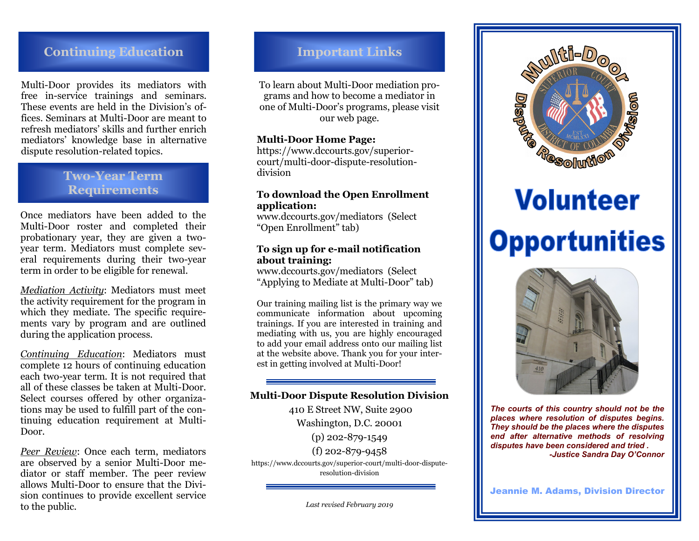# **Continuing Education Important Links**

Multi-Door provides its mediators with free in-service trainings and seminars. These events are held in the Division's offices. Seminars at Multi-Door are meant to refresh mediators' skills and further enrich mediators' knowledge base in alternative dispute resolution-related topics.

# **Two-Year Term Requirements**

Once mediators have been added to the Multi-Door roster and completed their probationary year, they are given a twoyear term. Mediators must complete several requirements during their two-year term in order to be eligible for renewal.

*Mediation Activity*: Mediators must meet the activity requirement for the program in which they mediate. The specific requirements vary by program and are outlined during the application process.

*Continuing Education*: Mediators must complete 12 hours of continuing education each two-year term. It is not required that all of these classes be taken at Multi-Door. Select courses offered by other organizations may be used to fulfill part of the continuing education requirement at Multi-Door.

*Peer Review*: Once each term, mediators are observed by a senior Multi-Door mediator or staff member. The peer review allows Multi-Door to ensure that the Division continues to provide excellent service to the public.

To learn about Multi-Door mediation programs and how to become a mediator in one of Multi-Door's programs, please visit our web page.

## **Multi-Door Home Page:**

https://www.dccourts.gov/superiorcourt/multi-door-dispute-resolutiondivision

### **To download the Open Enrollment application:**

www.dccourts.gov/mediators (Select "Open Enrollment" tab)

## **To sign up for e-mail notification about training:**

www.dccourts.gov/mediators (Select "Applying to Mediate at Multi-Door" tab)

Our training mailing list is the primary way we communicate information about upcoming trainings. If you are interested in training and mediating with us, you are highly encouraged to add your email address onto our mailing list at the website above. Thank you for your interest in getting involved at Multi-Door!

## **Multi-Door Dispute Resolution Division**

410 E Street NW, Suite 2900 Washington, D.C. 20001 (p) 202-879-1549 (f) 202-879-9458 https://www.dccourts.gov/superior-court/multi-door-disputeresolution-division



# **Volunteer Opportunities**



*The courts of this country should not be the places where resolution of disputes begins. They should be the places where the disputes end after alternative methods of resolving disputes have been considered and tried . -Justice Sandra Day O'Connor*